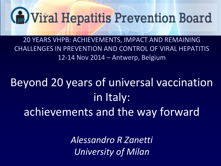

20 YEARS VHPB: ACHIEVEMENTS, IMPACT AND REMAINING CHALLENGES IN PREVENTION AND CONTROL OF VIRAL HEPATITIS 12-14 Nov 2014 – Antwerp, Belgium

## Beyond 20 years of universal vaccination in Italy: achievements and the way forward

*Alessandro R Zanetti University of Milan*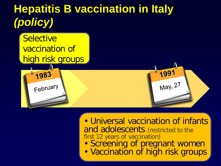### **Hepatitis B vaccination in Italy** *(policy)*



#### • Universal vaccination of infants and adolescents (restricted to the first 12 years of vaccination)

- Screening of pregnant women
- Vaccination of high risk groups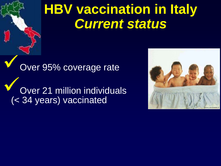# **HBV vaccination in Italy** *Current status*

Over 95% coverage rate Over 21 million individuals (< 34 years) vaccinated

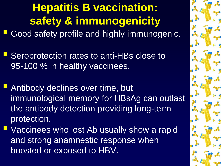### **Hepatitis B vaccination: safety & immunogenicity** Good safety profile and highly immunogenic.

- Seroprotection rates to anti-HBs close to 95-100 % in healthy vaccinees.
- Antibody declines over time, but immunological memory for HBsAg can outlast the antibody detection providing long-term protection.
- Vaccinees who lost Ab usually show a rapid and strong anamnestic response when boosted or exposed to HBV.

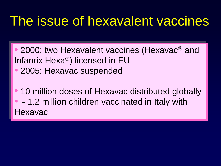## The issue of hexavalent vaccines

- 2000: two Hexavalent vaccines (Hexavac<sup>®</sup> and Infanrix Hexa®) licensed in  $EU$ • 2005: Hexavac suspended
- **10 million doses of Hexavac distributed globally** • ∼ 1.2 million children vaccinated in Italy with Hexavac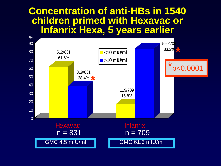#### **Concentration of anti-HBs in 1540 children primed with Hexavac or Infanrix Hexa, 5 years earlier**

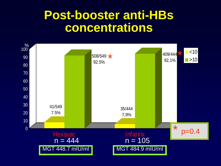### **Post-booster anti-HBs concentrations**

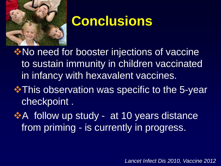

# **Conclusions**

**EXA No need for booster injections of vaccine** to sustain immunity in children vaccinated in infancy with hexavalent vaccines.

- **\*This observation was specific to the 5-year** checkpoint .
- **A** follow up study at 10 years distance from priming - is currently in progress.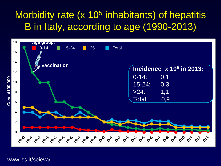#### Morbidity rate (x 10<sup>5</sup> inhabitants) of hepatitis B in Italy, according to age (1990-2013)



www.iss.it/seieva/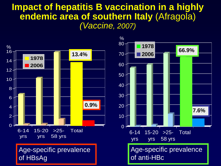#### **Impact of hepatitis B vaccination in a highly endemic area of southern Italy** (Afragola) *(Vaccine, 2007)*

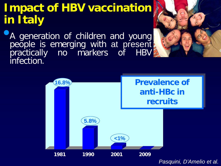### **Impact of HBV vaccination in Italy**

•A generation of children and young people is emerging with at present practically no markers of HBV infection.

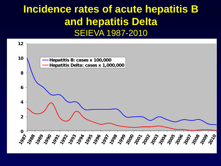#### **Incidence rates of acute hepatitis B and hepatitis Delta**  SEIEVA 1987-2010

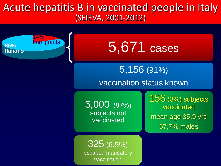Acute hepatitis B in vaccinated people in Italy (SEIEVA, 2001-2012)

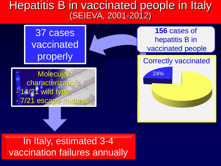#### Hepatitis B in vaccinated people in Italy (SEIEVA, 2001-2012)



In Italy, estimated 3-4 vaccination failures annually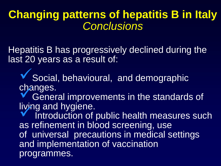### **Changing patterns of hepatitis B in Italy** *Conclusions*

Hepatitis B has progressively declined during the last 20 years as a result of:

V Social, behavioural, and demographic<br>changes.

**V** General improvements in the standards of living and hygiene.

Introduction of public health measures such as refinement in blood screening, use of universal precautions in medical settings and implementation of vaccination programmes.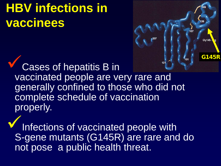# **HBV infections in vaccinees**

Cases of hepatitis B in vaccinated people are very rare and generally confined to those who did not complete schedule of vaccination properly.

**G145R**

107

Infections of vaccinated people with S-gene mutants (G145R) are rare and do not pose a public health threat.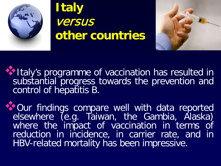

### **Italy**  versus **other countries**



Italy's programme of vaccination has resulted in substantial progress towards the prevention and control of hepatitis B.

Our findings compare well with data reported elsewhere (e.g. Taiwan, the Gambia, Alaska) where the impact of vaccination in terms of reduction in incidence, in carrier rate, and in HBV-related mortality has been impressive.